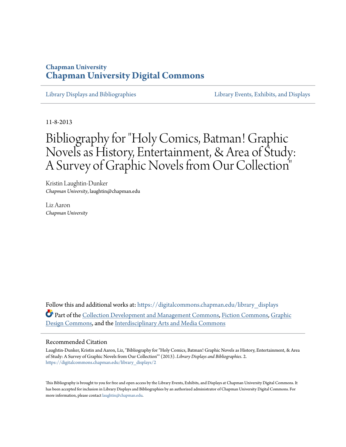# **Chapman University [Chapman University Digital Commons](https://digitalcommons.chapman.edu?utm_source=digitalcommons.chapman.edu%2Flibrary_displays%2F2&utm_medium=PDF&utm_campaign=PDFCoverPages)**

[Library Displays and Bibliographies](https://digitalcommons.chapman.edu/library_displays?utm_source=digitalcommons.chapman.edu%2Flibrary_displays%2F2&utm_medium=PDF&utm_campaign=PDFCoverPages) [Library Events, Exhibits, and Displays](https://digitalcommons.chapman.edu/library_events?utm_source=digitalcommons.chapman.edu%2Flibrary_displays%2F2&utm_medium=PDF&utm_campaign=PDFCoverPages)

11-8-2013

# Bibliography for "Holy Comics, Batman! Graphic Novels as History, Entertainment, & Area of Study: A Survey of Graphic Novels from Our Collection"

Kristin Laughtin-Dunker *Chapman University*, laughtin@chapman.edu

Liz Aaron *Chapman University*

Follow this and additional works at: [https://digitalcommons.chapman.edu/library\\_displays](https://digitalcommons.chapman.edu/library_displays?utm_source=digitalcommons.chapman.edu%2Flibrary_displays%2F2&utm_medium=PDF&utm_campaign=PDFCoverPages) Part of the [Collection Development and Management Commons,](http://network.bepress.com/hgg/discipline/1271?utm_source=digitalcommons.chapman.edu%2Flibrary_displays%2F2&utm_medium=PDF&utm_campaign=PDFCoverPages) [Fiction Commons,](http://network.bepress.com/hgg/discipline/1151?utm_source=digitalcommons.chapman.edu%2Flibrary_displays%2F2&utm_medium=PDF&utm_campaign=PDFCoverPages) [Graphic](http://network.bepress.com/hgg/discipline/1134?utm_source=digitalcommons.chapman.edu%2Flibrary_displays%2F2&utm_medium=PDF&utm_campaign=PDFCoverPages) [Design Commons,](http://network.bepress.com/hgg/discipline/1134?utm_source=digitalcommons.chapman.edu%2Flibrary_displays%2F2&utm_medium=PDF&utm_campaign=PDFCoverPages) and the [Interdisciplinary Arts and Media Commons](http://network.bepress.com/hgg/discipline/1137?utm_source=digitalcommons.chapman.edu%2Flibrary_displays%2F2&utm_medium=PDF&utm_campaign=PDFCoverPages)

#### Recommended Citation

Laughtin-Dunker, Kristin and Aaron, Liz, "Bibliography for "Holy Comics, Batman! Graphic Novels as History, Entertainment, & Area of Study: A Survey of Graphic Novels from Our Collection"" (2013). *Library Displays and Bibliographies*. 2. [https://digitalcommons.chapman.edu/library\\_displays/2](https://digitalcommons.chapman.edu/library_displays/2?utm_source=digitalcommons.chapman.edu%2Flibrary_displays%2F2&utm_medium=PDF&utm_campaign=PDFCoverPages)

This Bibliography is brought to you for free and open access by the Library Events, Exhibits, and Displays at Chapman University Digital Commons. It has been accepted for inclusion in Library Displays and Bibliographies by an authorized administrator of Chapman University Digital Commons. For more information, please contact [laughtin@chapman.edu](mailto:laughtin@chapman.edu).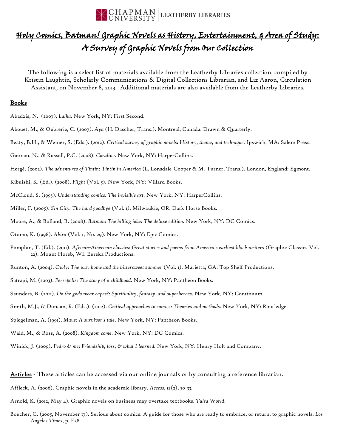

# Holy Comics, Batman! Graphic Novels as History, Entertainment, 5 Area of Study: A Survey of Graphic Novels from Our Collection

The following is a select list of materials available from the Leatherby Libraries collection, compiled by Kristin Laughtin, Scholarly Communications & Digital Collections Librarian, and Liz Aaron, Circulation Assistant, on November 8, 2013. Additional materials are also available from the Leatherby Libraries.

#### Books

- Abadzis, N. (2007). *Laika*. New York, NY: First Second.
- Abouet, M., & Oubrerie, C. (2007). *Aya* (H. Dascher, Trans.). Montreal, Canada: Drawn & Quarterly.
- Beaty, B.H., & Weiner, S. (Eds.). (2012). *Critical survey of graphic novels: History, theme, and technique.* Ipswich, MA: Salem Press.
- Gaiman, N., & Russell, P.C. (2008). *Coraline*. New York, NY: HarperCollins.
- Hergé. (2002). *The adventures of Tintin: Tintin in America* (L. Lonsdale-Cooper & M. Turner, Trans.). London, England: Egmont.
- Kibuishi, K. (Ed.). (2008). *Flight* (Vol. 5). New York, NY: Villard Books.
- McCloud, S. (1993). *Understanding comics: The invisible art.* New York, NY: HarperCollins.
- Miller, F. (2005). *Sin City: The hard goodbye* (Vol. 1). Milwaukie, OR: Dark Horse Books.
- Moore, A., & Bolland, B. (2008). *Batman: The killing joke: The deluxe edition.* New York, NY: DC Comics.
- Otomo, K. (1998). *Akira* (Vol. 1, No. 29). New York, NY: Epic Comics.
- Pomplun, T. (Ed.). (2011). *African-American classics: Great stories and poems from America's earliest black writers* (Graphic Classics Vol. 22). Mount Horeb, WI: Eureka Productions.
- Runton, A. (2004). *Owly: The way home and the bittersweet summer* (Vol. 1). Marietta, GA: Top Shelf Productions.
- Satrapi, M. (2003). *Persepolis: The story of a childhood.* New York, NY: Pantheon Books.
- Saunders, B. (2011). *Do the gods wear capes?: Spirituality, fantasy, and superheroes.* New York, NY: Continuum.
- Smith, M.J., & Duncan, R. (Eds.). (2012). *Critical approaches to comics: Theories and methods.* New York, NY: Routledge.
- Spiegelman, A. (1991). *Maus: A survivor's tale*. New York, NY: Pantheon Books.
- Waid, M., & Ross, A. (2008). *Kingdom come*. New York, NY: DC Comics.
- Winick, J. (2009). *Pedro & me: Friendship, loss, & what I learned.* New York, NY: Henry Holt and Company.

Articles - These articles can be accessed via our online journals or by consulting a reference librarian.

- Affleck, A. (2006). Graphic novels in the academic library. *Access, 12*(2), 30-33.
- Arnold, K. (2012, May 4). Graphic novels on business may overtake textbooks. *Tulsa World*.
- Boucher, G. (2005, November 17). Serious about comics: A guide for those who are ready to embrace, or return, to graphic novels. *Los Angeles Times*, p. E28.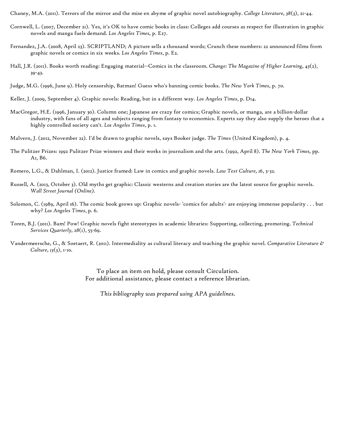Chaney, M.A. (2011). Terrors of the mirror and the mise en abyme of graphic novel autobiography. *College Literature, 38*(3), 21-44.

- Cornwell, L. (2007, December 21). Yes, it's OK to have comic books in class: Colleges add courses as respect for illustration in graphic novels and manga fuels demand. *Los Angeles Times,* p. E27.
- Fernandez, J.A. (2008, April 23). SCRIPTLAND; A picture sells a thousand words; Crunch these numbers: 22 announced films from graphic novels or comics in six weeks. *Los Angeles Times*, p. E2.
- Hall, J.R. (2011). Books worth reading: Engaging material--Comics in the classroom. *Change: The Magazine of Higher Learning, 43*(2), 39-43.
- Judge, M.G. (1996, June 9). Holy censorship, Batman! Guess who's banning comic books. *The New York Times*, p. 70.
- Keller, J. (2009, September 4). Graphic novels: Reading, but in a different way. *Los Angeles Times*, p. D14.
- MacGregor, H.E. (1996, January 30). Column one; Japanese are crazy for comics; Graphic novels, or manga, are a billion-dollar industry, with fans of all ages and subjects ranging from fantasy to economics. Experts say they also supply the heroes that a highly controlled society can't. *Los Angeles Times*, p. 1.
- Malvern, J. (2012, November 22). I'd be drawn to graphic novels, says Booker judge. *The Times* (United Kingdom), p. 4.
- The Pulitzer Prizes: 1992 Pulitzer Prize winners and their works in journalism and the arts. (1992, April 8). *The New York Times,* pp. A1, B6.
- Romero, L.G., & Dahlman, I. (2012). Justice framed: Law in comics and graphic novels. *Law Text Culture, 16*, 3-32.
- Russell, A. (2013, October 3). Old myths get graphic: Classic westerns and creation stories are the latest source for graphic novels. *Wall Street Journal (Online).*
- Solomon, C. (1989, April 16). The comic book grows up: Graphic novels- 'comics for adults'- are enjoying immense popularity . . . but why? *Los Angeles Times*, p. 6.
- Toren, B.J. (2011). Bam! Pow! Graphic novels fight stereotypes in academic libraries: Supporting, collecting, promoting. *Technical Services Quarterly, 28*(1), 55-69.
- Vandermeersche, G., & Soetaert, R. (2011). Intermediality as cultural literacy and teaching the graphic novel. *Comparative Literature & Culture, 13*(3), 1-10.

To place an item on hold, please consult Circulation. For additional assistance, please contact a reference librarian.

*This bibliography was prepared using APA guidelines.*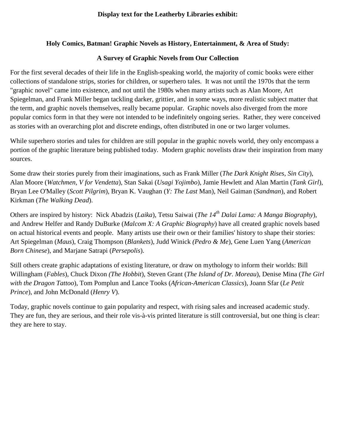# **Holy Comics, Batman! Graphic Novels as History, Entertainment, & Area of Study:**

# **A Survey of Graphic Novels from Our Collection**

For the first several decades of their life in the English-speaking world, the majority of comic books were either collections of standalone strips, stories for children, or superhero tales. It was not until the 1970s that the term "graphic novel" came into existence, and not until the 1980s when many artists such as Alan Moore, Art Spiegelman, and Frank Miller began tackling darker, grittier, and in some ways, more realistic subject matter that the term, and graphic novels themselves, really became popular. Graphic novels also diverged from the more popular comics form in that they were not intended to be indefinitely ongoing series. Rather, they were conceived as stories with an overarching plot and discrete endings, often distributed in one or two larger volumes.

While superhero stories and tales for children are still popular in the graphic novels world, they only encompass a portion of the graphic literature being published today. Modern graphic novelists draw their inspiration from many sources.

Some draw their stories purely from their imaginations, such as Frank Miller (*The Dark Knight Rises, Sin City*), Alan Moore (*Watchmen, V for Vendetta*), Stan Sakai (*Usagi Yojimbo*), Jamie Hewlett and Alan Martin (*Tank Girl*), Bryan Lee O'Malley (*Scott Pilgrim*), Bryan K. Vaughan (*Y: The Last* Man), Neil Gaiman (*Sandman*), and Robert Kirkman (*The Walking Dead*).

Others are inspired by history: Nick Abadzis (*Laika*), Tetsu Saiwai (*The 14th Dalai Lama: A Manga Biography*), and Andrew Helfer and Randy DuBurke (*Malcom X: A Graphic Biography*) have all created graphic novels based on actual historical events and people. Many artists use their own or their families' history to shape their stories: Art Spiegelman (*Maus*), Craig Thompson (*Blankets*), Judd Winick *(Pedro & Me*), Gene Luen Yang (*American Born Chinese*), and Marjane Satrapi (*Persepolis*).

Still others create graphic adaptations of existing literature, or draw on mythology to inform their worlds: Bill Willingham (*Fables*), Chuck Dixon *(The Hobbit*), Steven Grant (*The Island of Dr. Moreau*), Denise Mina (*The Girl with the Dragon Tattoo*), Tom Pomplun and Lance Tooks (*African-American Classics*), Joann Sfar (*Le Petit Prince*), and John McDonald (*Henry V*).

Today, graphic novels continue to gain popularity and respect, with rising sales and increased academic study. They are fun, they are serious, and their role vis-à-vis printed literature is still controversial, but one thing is clear: they are here to stay.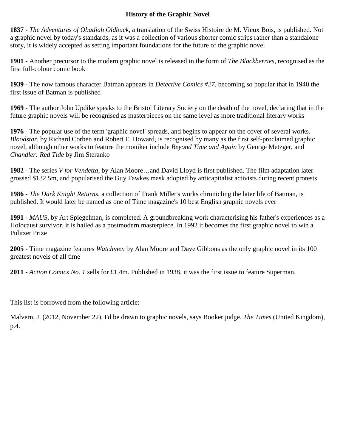# **History of the Graphic Novel**

**1837** - *The Adventures of Obadiah Oldbuck*, a translation of the Swiss Histoire de M. Vieux Bois, is published. Not a graphic novel by today's standards, as it was a collection of various shorter comic strips rather than a standalone story, it is widely accepted as setting important foundations for the future of the graphic novel

**1901** - Another precursor to the modern graphic novel is released in the form of *The Blackberries*, recognised as the first full-colour comic book

**1939** - The now famous character Batman appears in *Detective Comics #27*, becoming so popular that in 1940 the first issue of Batman is published

**1969** - The author John Updike speaks to the Bristol Literary Society on the death of the novel, declaring that in the future graphic novels will be recognised as masterpieces on the same level as more traditional literary works

**1976** - The popular use of the term 'graphic novel' spreads, and begins to appear on the cover of several works. *Bloodstar*, by Richard Corben and Robert E. Howard, is recognised by many as the first self-proclaimed graphic novel, although other works to feature the moniker include *Beyond Time and Again* by George Metzger, and *Chandler: Red Tide* by Jim Steranko

**1982** - The series *V for Vendetta*, by Alan Moore…and David Lloyd is first published. The film adaptation later grossed \$132.5m, and popularised the Guy Fawkes mask adopted by anticapitalist activists during recent protests

**1986** - *The Dark Knight Returns*, a collection of Frank Miller's works chronicling the later life of Batman, is published. It would later be named as one of Time magazine's 10 best English graphic novels ever

**1991** - *MAUS*, by Art Spiegelman, is completed. A groundbreaking work characterising his father's experiences as a Holocaust survivor, it is hailed as a postmodern masterpiece. In 1992 it becomes the first graphic novel to win a Pulitzer Prize

**2005** - Time magazine features *Watchmen* by Alan Moore and Dave Gibbons as the only graphic novel in its 100 greatest novels of all time

**2011** - *Action Comics No. 1* sells for £1.4m. Published in 1938, it was the first issue to feature Superman.

This list is borrowed from the following article:

Malvern, J. (2012, November 22). I'd be drawn to graphic novels, says Booker judge. *The Times* (United Kingdom), p.4.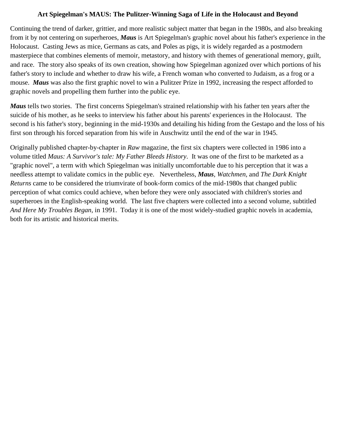#### **Art Spiegelman's MAUS: The Pulitzer-Winning Saga of Life in the Holocaust and Beyond**

Continuing the trend of darker, grittier, and more realistic subject matter that began in the 1980s, and also breaking from it by not centering on superheroes, *Maus* is Art Spiegelman's graphic novel about his father's experience in the Holocaust. Casting Jews as mice, Germans as cats, and Poles as pigs, it is widely regarded as a postmodern masterpiece that combines elements of memoir, metastory, and history with themes of generational memory, guilt, and race. The story also speaks of its own creation, showing how Spiegelman agonized over which portions of his father's story to include and whether to draw his wife, a French woman who converted to Judaism, as a frog or a mouse. *Maus* was also the first graphic novel to win a Pulitzer Prize in 1992, increasing the respect afforded to graphic novels and propelling them further into the public eye.

*Maus* tells two stories. The first concerns Spiegelman's strained relationship with his father ten years after the suicide of his mother, as he seeks to interview his father about his parents' experiences in the Holocaust. The second is his father's story, beginning in the mid-1930s and detailing his hiding from the Gestapo and the loss of his first son through his forced separation from his wife in Auschwitz until the end of the war in 1945.

Originally published chapter-by-chapter in *Raw* magazine, the first six chapters were collected in 1986 into a volume titled *Maus: A Survivor's tale: My Father Bleeds History*. It was one of the first to be marketed as a "graphic novel", a term with which Spiegelman was initially uncomfortable due to his perception that it was a needless attempt to validate comics in the public eye. Nevertheless, *Maus, Watchmen,* and *The Dark Knight Returns* came to be considered the triumvirate of book-form comics of the mid-1980s that changed public perception of what comics could achieve, when before they were only associated with children's stories and superheroes in the English-speaking world. The last five chapters were collected into a second volume, subtitled *And Here My Troubles Began*, in 1991. Today it is one of the most widely-studied graphic novels in academia, both for its artistic and historical merits.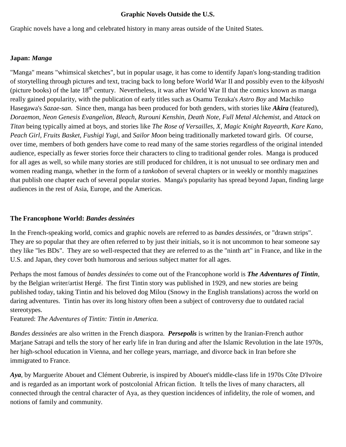#### **Graphic Novels Outside the U.S.**

Graphic novels have a long and celebrated history in many areas outside of the United States.

#### **Japan:** *Manga*

"Manga" means "whimsical sketches", but in popular usage, it has come to identify Japan's long-standing tradition of storytelling through pictures and text, tracing back to long before World War II and possibly even to the *kibyoshi* (picture books) of the late  $18<sup>th</sup>$  century. Nevertheless, it was after World War II that the comics known as manga really gained popularity, with the publication of early titles such as Osamu Tezuka's *Astro Boy* and Machiko Hasegawa's *Sazae-san*. Since then, manga has been produced for both genders, with stories like *Akira* (featured), *Doraemon*, *Neon Genesis Evangelion*, *Bleach*, *Rurouni Kenshin*, *Death Note*, *Full Metal Alchemist,* and *Attack on Titan* being typically aimed at boys, and stories like *The Rose of Versailles*, *X*, *Magic Knight Rayearth*, *Kare Kano*, *Peach Girl*, *Fruits Basket*, *Fushigi Yugi*, and *Sailor Moon* being traditionally marketed toward girls. Of course, over time, members of both genders have come to read many of the same stories regardless of the original intended audience, especially as fewer stories force their characters to cling to traditional gender roles. Manga is produced for all ages as well, so while many stories are still produced for children, it is not unusual to see ordinary men and women reading manga, whether in the form of a *tankobon* of several chapters or in weekly or monthly magazines that publish one chapter each of several popular stories. Manga's popularity has spread beyond Japan, finding large audiences in the rest of Asia, Europe, and the Americas.

#### **The Francophone World:** *Bandes dessinées*

In the French-speaking world, comics and graphic novels are referred to as *bandes dessinées*, or "drawn strips". They are so popular that they are often referred to by just their initials, so it is not uncommon to hear someone say they like "les BDs". They are so well-respected that they are referred to as the "ninth art" in France, and like in the U.S. and Japan, they cover both humorous and serious subject matter for all ages.

Perhaps the most famous of *bandes dessinées* to come out of the Francophone world is *The Adventures of Tintin*, by the Belgian writer/artist Hergé. The first Tintin story was published in 1929, and new stories are being published today, taking Tintin and his beloved dog Milou (Snowy in the English translations) across the world on daring adventures. Tintin has over its long history often been a subject of controversy due to outdated racial stereotypes.

Featured: *The Adventures of Tintin: Tintin in America.*

*Bandes dessinées* are also written in the French diaspora. *Persepolis* is written by the Iranian-French author Marjane Satrapi and tells the story of her early life in Iran during and after the Islamic Revolution in the late 1970s, her high-school education in Vienna, and her college years, marriage, and divorce back in Iran before she immigrated to France.

*Aya*, by Marguerite Abouet and Clément Oubrerie, is inspired by Abouet's middle-class life in 1970s Côte D'Ivoire and is regarded as an important work of postcolonial African fiction. It tells the lives of many characters, all connected through the central character of Aya, as they question incidences of infidelity, the role of women, and notions of family and community.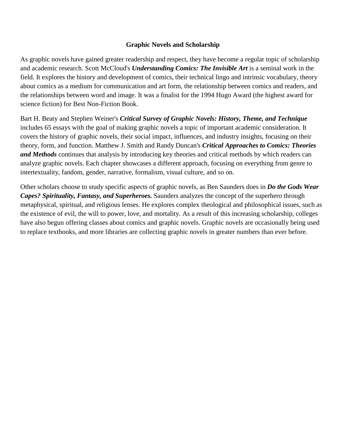### **Graphic Novels and Scholarship**

As graphic novels have gained greater readership and respect, they have become a regular topic of scholarship and academic research. Scott McCloud's *Understanding Comics: The Invisible Art* is a seminal work in the field. It explores the history and development of comics, their technical lingo and intrinsic vocabulary, theory about comics as a medium for communication and art form, the relationship between comics and readers, and the relationships between word and image. It was a finalist for the 1994 Hugo Award (the highest award for science fiction) for Best Non-Fiction Book.

Bart H. Beaty and Stephen Weiner's *Critical Survey of Graphic Novels: History, Theme, and Technique* includes 65 essays with the goal of making graphic novels a topic of important academic consideration. It covers the history of graphic novels, their social impact, influences, and industry insights, focusing on their theory, form, and function. Matthew J. Smith and Randy Duncan's *Critical Approaches to Comics: Theories and Methods* continues that analysis by introducing key theories and critical methods by which readers can analyze graphic novels. Each chapter showcases a different approach, focusing on everything from genre to intertextuality, fandom, gender, narrative, formalism, visual culture, and so on.

Other scholars choose to study specific aspects of graphic novels, as Ben Saunders does in *Do the Gods Wear Capes? Spirituality, Fantasy, and Superheroes.* Saunders analyzes the concept of the superhero through metaphysical, spiritual, and religious lenses. He explores complex theological and philosophical issues, such as the existence of evil, the will to power, love, and mortality. As a result of this increasing scholarship, colleges have also begun offering classes about comics and graphic novels. Graphic novels are occasionally being used to replace textbooks, and more libraries are collecting graphic novels in greater numbers than ever before.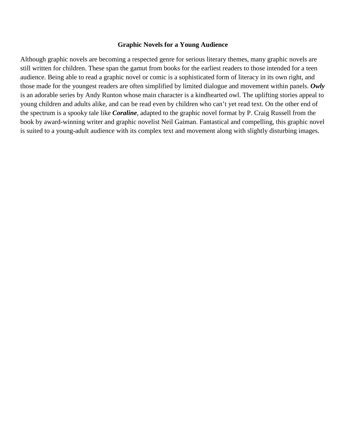#### **Graphic Novels for a Young Audience**

Although graphic novels are becoming a respected genre for serious literary themes, many graphic novels are still written for children. These span the gamut from books for the earliest readers to those intended for a teen audience. Being able to read a graphic novel or comic is a sophisticated form of literacy in its own right, and those made for the youngest readers are often simplified by limited dialogue and movement within panels. *Owly* is an adorable series by Andy Runton whose main character is a kindhearted owl. The uplifting stories appeal to young children and adults alike, and can be read even by children who can't yet read text. On the other end of the spectrum is a spooky tale like *Coraline*, adapted to the graphic novel format by P. Craig Russell from the book by award-winning writer and graphic novelist Neil Gaiman. Fantastical and compelling, this graphic novel is suited to a young-adult audience with its complex text and movement along with slightly disturbing images.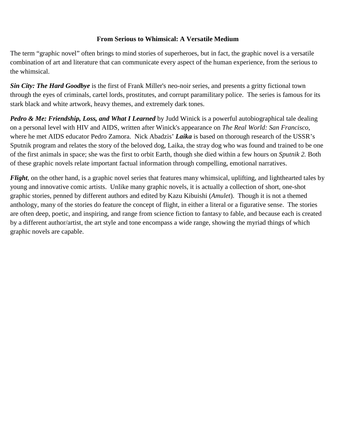## **From Serious to Whimsical: A Versatile Medium**

The term "graphic novel" often brings to mind stories of superheroes, but in fact, the graphic novel is a versatile combination of art and literature that can communicate every aspect of the human experience, from the serious to the whimsical.

*Sin City: The Hard Goodbye* is the first of Frank Miller's neo-noir series, and presents a gritty fictional town through the eyes of criminals, cartel lords, prostitutes, and corrupt paramilitary police. The series is famous for its stark black and white artwork, heavy themes, and extremely dark tones.

*Pedro & Me: Friendship, Loss, and What I Learned* by Judd Winick is a powerful autobiographical tale dealing on a personal level with HIV and AIDS, written after Winick's appearance on *The Real World: San Francisco*, where he met AIDS educator Pedro Zamora. Nick Abadzis' *Laika* is based on thorough research of the USSR's Sputnik program and relates the story of the beloved dog, Laika, the stray dog who was found and trained to be one of the first animals in space; she was the first to orbit Earth, though she died within a few hours on *Sputnik 2.* Both of these graphic novels relate important factual information through compelling, emotional narratives.

*Flight*, on the other hand, is a graphic novel series that features many whimsical, uplifting, and lighthearted tales by young and innovative comic artists. Unlike many graphic novels, it is actually a collection of short, one-shot graphic stories, penned by different authors and edited by Kazu Kibuishi (*Amulet*). Though it is not a themed anthology, many of the stories do feature the concept of flight, in either a literal or a figurative sense. The stories are often deep, poetic, and inspiring, and range from science fiction to fantasy to fable, and because each is created by a different author/artist, the art style and tone encompass a wide range, showing the myriad things of which graphic novels are capable.